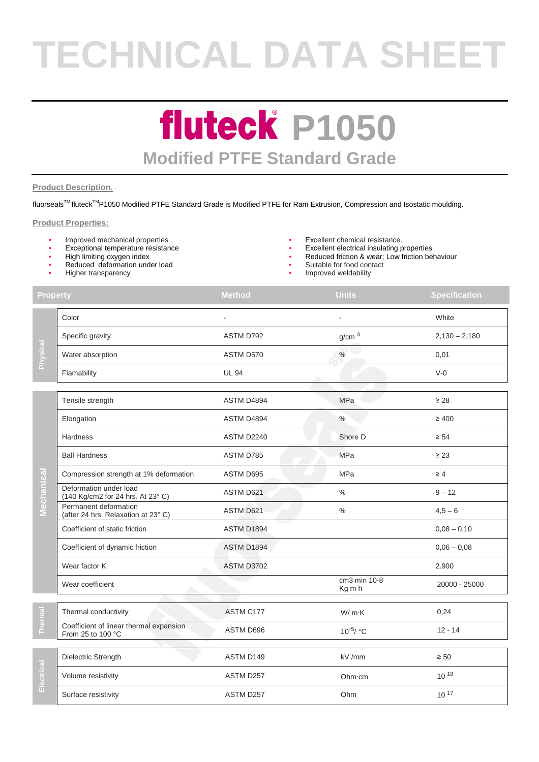# **TECHNICAL DATA SHEET**

### **fluteck P1050 Modified PTFE Standard Grade**

#### **Product Description.**

fluorseals™ fluteck<sup>™</sup>P1050 Modified PTFE Standard Grade is Modified PTFE for Ram Extrusion, Compression and Isostatic moulding.

#### **Product Properties:**

- Improved mechanical properties **•** Excellent chemical resistance.
- 
- High limiting oxygen index
- Reduced deformation under load
- Higher transparency
- 
- Exceptional temperature resistance  **Excellent electrical insulating properties** 
	- Reduced friction & wear; Low friction behaviour
	- Suitable for food contact
	- Improved weldability

| <b>Property</b> |                                                              | <b>Method</b>     | <b>Units</b>           | <b>Specification</b> |
|-----------------|--------------------------------------------------------------|-------------------|------------------------|----------------------|
| Physical        | Color                                                        |                   |                        | White                |
|                 | Specific gravity                                             | ASTM D792         | g/cm <sup>3</sup>      | $2,130 - 2,180$      |
|                 | Water absorption                                             | ASTM D570         | $\%$                   | 0,01                 |
|                 | Flamability                                                  | <b>UL 94</b>      |                        | $V-0$                |
|                 |                                                              |                   |                        |                      |
| Mechanica       | Tensile strength                                             | ASTM D4894        | MPa                    | $\geq 28$            |
|                 | Elongation                                                   | ASTM D4894        | $\%$                   | $\geq 400$           |
|                 | <b>Hardness</b>                                              | ASTM D2240        | Shore D                | $\geq 54$            |
|                 | <b>Ball Hardness</b>                                         | ASTM D785         | <b>MPa</b>             | $\geq 23$            |
|                 | Compression strength at 1% deformation                       | ASTM D695         | MPa                    | $\geq 4$             |
|                 | Deformation under load<br>(140 Kg/cm2 for 24 hrs. At 23° C)  | ASTM D621         | $\%$                   | $9 - 12$             |
|                 | Permanent deformation<br>(after 24 hrs. Relaxation at 23° C) | ASTM D621         | $\%$                   | $4,5 - 6$            |
|                 | Coefficient of static friction                               | ASTM D1894        |                        | $0,08 - 0,10$        |
|                 | Coefficient of dynamic friction                              | ASTM D1894        |                        | $0,06 - 0,08$        |
|                 | Wear factor K                                                | <b>ASTM D3702</b> |                        | 2.900                |
|                 | Wear coefficient                                             |                   | cm3 min 10-8<br>Kg m h | 20000 - 25000        |
|                 |                                                              |                   |                        |                      |
| Thermal         | Thermal conductivity                                         | ASTM C177         | W/mK                   | 0,24                 |
|                 | Coefficient of linear thermal expansion<br>From 25 to 100 °C | ASTM D696         | 10 <sup>-5</sup> / °C  | $12 - 14$            |
| Electrical      |                                                              |                   |                        |                      |
|                 | Dielectric Strength                                          | ASTM D149         | kV /mm                 | $\geq 50$            |
|                 | Volume resistivity                                           | ASTM D257         | Ohm·cm                 | $10^{18}$            |
|                 | Surface resistivity                                          | ASTM D257         | Ohm                    | $10^{17}$            |
|                 |                                                              |                   |                        |                      |